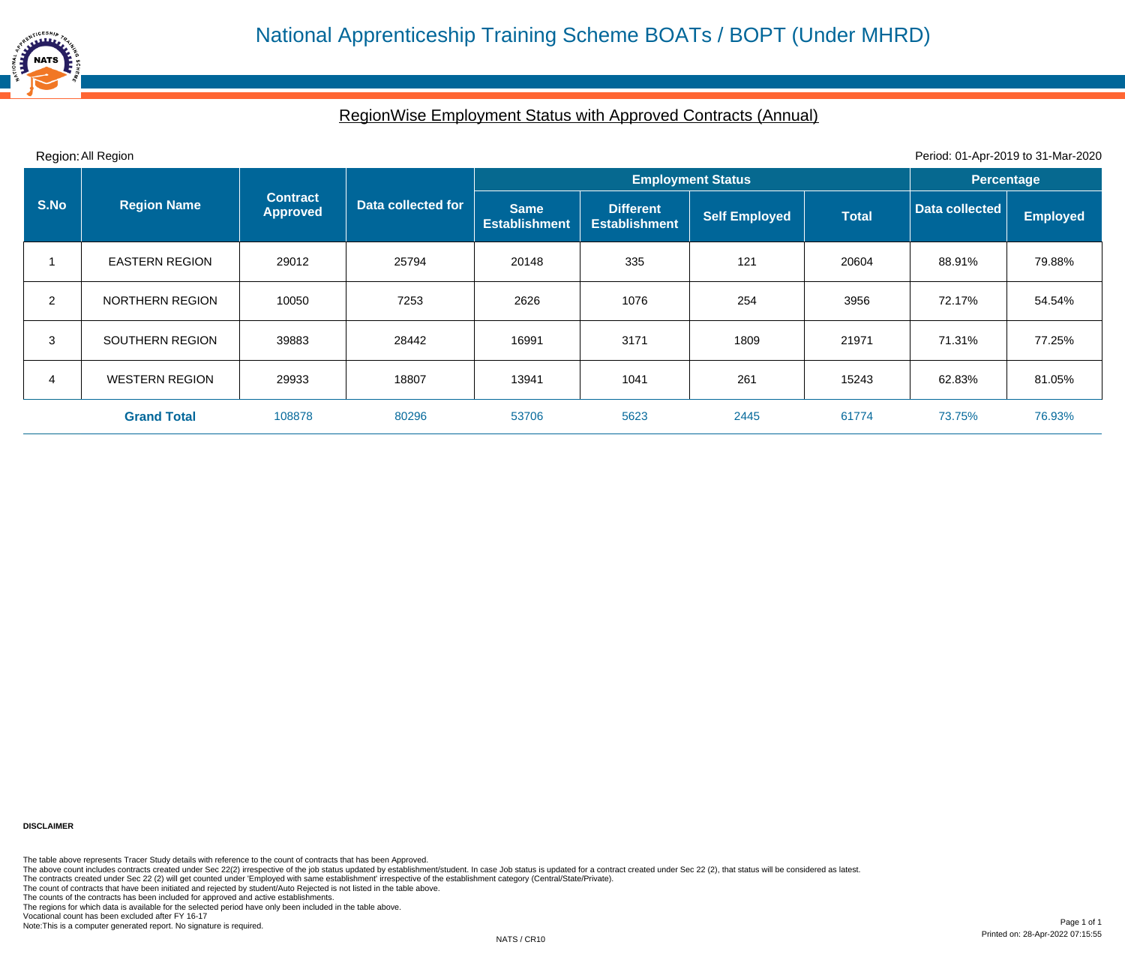## RegionWise Employment Status with Approved Contracts (Annual)

| Region: All Region<br>Period: 01-Apr-2019 to 31-Mar-2020 |                       |                                    |                    |                                     |                                          |                      |                   |                                                                  |                 |
|----------------------------------------------------------|-----------------------|------------------------------------|--------------------|-------------------------------------|------------------------------------------|----------------------|-------------------|------------------------------------------------------------------|-----------------|
|                                                          |                       |                                    |                    |                                     | <b>Employment Status</b>                 |                      | <b>Percentage</b> |                                                                  |                 |
| S.No                                                     | <b>Region Name</b>    | <b>Contract</b><br><b>Approved</b> | Data collected for | <b>Same</b><br><b>Establishment</b> | <b>Different</b><br><b>Establishment</b> | <b>Self Employed</b> | <b>Total</b>      | Data collected<br>88.91%<br>72.17%<br>71.31%<br>62.83%<br>73.75% | <b>Employed</b> |
|                                                          | <b>EASTERN REGION</b> | 29012                              | 25794              | 20148                               | 335                                      | 121                  | 20604             |                                                                  | 79.88%          |
| $\overline{2}$                                           | NORTHERN REGION       | 10050                              | 7253               | 2626                                | 1076                                     | 254                  | 3956              |                                                                  | 54.54%          |
| 3                                                        | SOUTHERN REGION       | 39883                              | 28442              | 16991                               | 3171                                     | 1809                 | 21971             |                                                                  | 77.25%          |
| 4                                                        | <b>WESTERN REGION</b> | 29933                              | 18807              | 13941                               | 1041                                     | 261                  | 15243             |                                                                  | 81.05%          |
|                                                          | <b>Grand Total</b>    | 108878                             | 80296              | 53706                               | 5623                                     | 2445                 | 61774             |                                                                  | 76.93%          |

**DISCLAIMER**

The table above represents Tracer Study details with reference to the count of contracts that has been Approved.

The above count includes contracts created under Sec 22(2) irrespective of the job status updated by establishment/student. In case Job status is updated for a contract created under Sec 22 (2), that status will be conside

The contracts created under Sec 22 (2) will get counted under 'Employed with same establishment' irrespective of the establishment category (Central/State/Private).

The count of contracts that have been initiated and rejected by student/Auto Rejected is not listed in the table above.

The counts of the contracts has been included for approved and active establishments.

The regions for which data is available for the selected period have only been included in the table above.

Vocational count has been excluded after FY 16-17

Note:This is a computer generated report. No signature is required.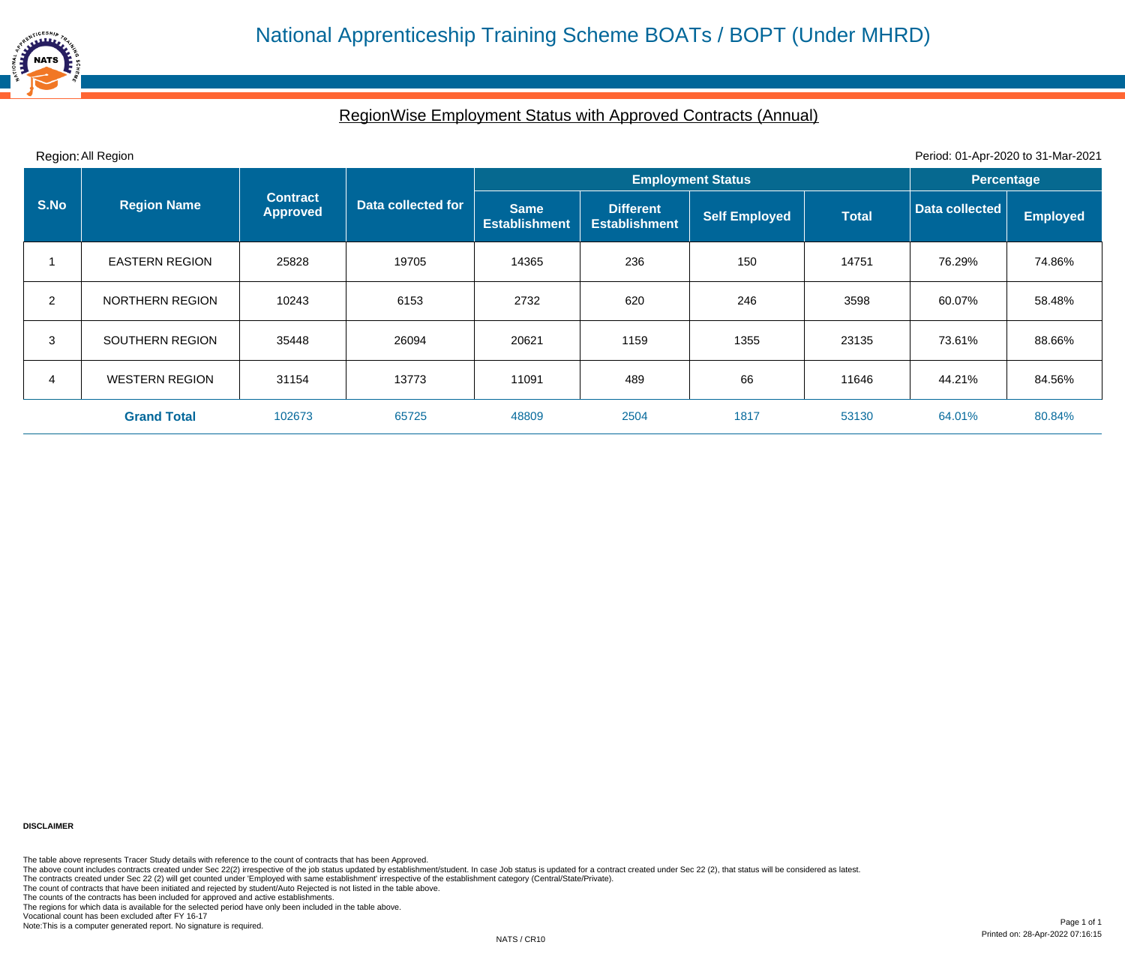## RegionWise Employment Status with Approved Contracts (Annual)

| Region: All Region<br>Period: 01-Apr-2020 to 31-Mar-2021 |                        |                                    |                    |                                     |                                          |                      |              |                                                                  |                   |  |
|----------------------------------------------------------|------------------------|------------------------------------|--------------------|-------------------------------------|------------------------------------------|----------------------|--------------|------------------------------------------------------------------|-------------------|--|
|                                                          |                        |                                    |                    | <b>Employment Status</b>            |                                          |                      |              |                                                                  | <b>Percentage</b> |  |
| S.No                                                     | <b>Region Name</b>     | <b>Contract</b><br><b>Approved</b> | Data collected for | <b>Same</b><br><b>Establishment</b> | <b>Different</b><br><b>Establishment</b> | <b>Self Employed</b> | <b>Total</b> | Data collected<br>76.29%<br>60.07%<br>73.61%<br>44.21%<br>64.01% | <b>Employed</b>   |  |
|                                                          | <b>EASTERN REGION</b>  | 25828                              | 19705              | 14365                               | 236                                      | 150                  | 14751        |                                                                  | 74.86%            |  |
| $\overline{2}$                                           | <b>NORTHERN REGION</b> | 10243                              | 6153               | 2732                                | 620                                      | 246                  | 3598         |                                                                  | 58.48%            |  |
| 3                                                        | SOUTHERN REGION        | 35448                              | 26094              | 20621                               | 1159                                     | 1355                 | 23135        |                                                                  | 88.66%            |  |
| 4                                                        | <b>WESTERN REGION</b>  | 31154                              | 13773              | 11091                               | 489                                      | 66                   | 11646        |                                                                  | 84.56%            |  |
|                                                          | <b>Grand Total</b>     | 102673                             | 65725              | 48809                               | 2504                                     | 1817                 | 53130        |                                                                  | 80.84%            |  |

**DISCLAIMER**

The table above represents Tracer Study details with reference to the count of contracts that has been Approved.

The above count includes contracts created under Sec 22(2) irrespective of the job status updated by establishment/student. In case Job status is updated for a contract created under Sec 22 (2), that status will be conside

The contracts created under Sec 22 (2) will get counted under 'Employed with same establishment' irrespective of the establishment category (Central/State/Private).

The count of contracts that have been initiated and rejected by student/Auto Rejected is not listed in the table above.

The counts of the contracts has been included for approved and active establishments.

The regions for which data is available for the selected period have only been included in the table above.

Vocational count has been excluded after FY 16-17

Note:This is a computer generated report. No signature is required.